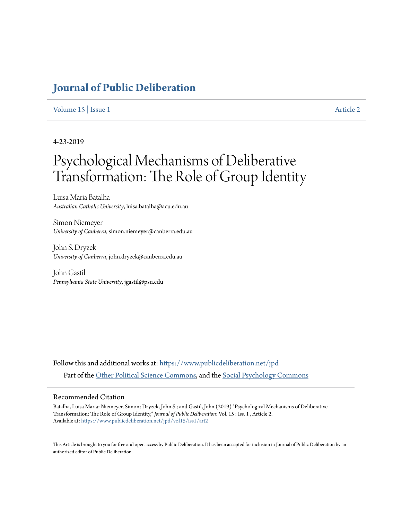# **[Journal of Public Deliberation](https://www.publicdeliberation.net/jpd?utm_source=www.publicdeliberation.net%2Fjpd%2Fvol15%2Fiss1%2Fart2&utm_medium=PDF&utm_campaign=PDFCoverPages)**

#### [Volume 15](https://www.publicdeliberation.net/jpd/vol15?utm_source=www.publicdeliberation.net%2Fjpd%2Fvol15%2Fiss1%2Fart2&utm_medium=PDF&utm_campaign=PDFCoverPages) | [Issue 1](https://www.publicdeliberation.net/jpd/vol15/iss1?utm_source=www.publicdeliberation.net%2Fjpd%2Fvol15%2Fiss1%2Fart2&utm_medium=PDF&utm_campaign=PDFCoverPages) [Article 2](https://www.publicdeliberation.net/jpd/vol15/iss1/art2?utm_source=www.publicdeliberation.net%2Fjpd%2Fvol15%2Fiss1%2Fart2&utm_medium=PDF&utm_campaign=PDFCoverPages)

#### 4-23-2019

# Psychological Mechanisms of Deliberative Transformation: The Role of Group Identity

Luisa Maria Batalha *Australian Catholic University*, luisa.batalha@acu.edu.au

Simon Niemeyer *University of Canberra*, simon.niemeyer@canberra.edu.au

John S. Dryzek *University of Canberra*, john.dryzek@canberra.edu.au

John Gastil *Pennsylvania State University*, jgastil@psu.edu

Follow this and additional works at: [https://www.publicdeliberation.net/jpd](https://www.publicdeliberation.net/jpd?utm_source=www.publicdeliberation.net%2Fjpd%2Fvol15%2Fiss1%2Fart2&utm_medium=PDF&utm_campaign=PDFCoverPages) Part of the [Other Political Science Commons,](http://network.bepress.com/hgg/discipline/392?utm_source=www.publicdeliberation.net%2Fjpd%2Fvol15%2Fiss1%2Fart2&utm_medium=PDF&utm_campaign=PDFCoverPages) and the [Social Psychology Commons](http://network.bepress.com/hgg/discipline/414?utm_source=www.publicdeliberation.net%2Fjpd%2Fvol15%2Fiss1%2Fart2&utm_medium=PDF&utm_campaign=PDFCoverPages)

#### Recommended Citation

Batalha, Luisa Maria; Niemeyer, Simon; Dryzek, John S.; and Gastil, John (2019) "Psychological Mechanisms of Deliberative Transformation: The Role of Group Identity," *Journal of Public Deliberation*: Vol. 15 : Iss. 1 , Article 2. Available at: [https://www.publicdeliberation.net/jpd/vol15/iss1/art2](https://www.publicdeliberation.net/jpd/vol15/iss1/art2?utm_source=www.publicdeliberation.net%2Fjpd%2Fvol15%2Fiss1%2Fart2&utm_medium=PDF&utm_campaign=PDFCoverPages)

This Article is brought to you for free and open access by Public Deliberation. It has been accepted for inclusion in Journal of Public Deliberation by an authorized editor of Public Deliberation.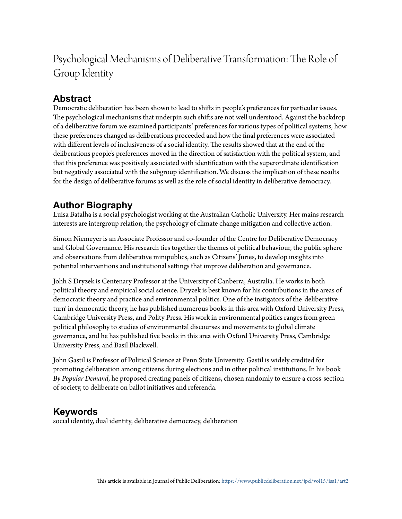Psychological Mechanisms of Deliberative Transformation: The Role of Group Identity

# **Abstract**

Democratic deliberation has been shown to lead to shifts in people's preferences for particular issues. The psychological mechanisms that underpin such shifts are not well understood. Against the backdrop of a deliberative forum we examined participants' preferences for various types of political systems, how these preferences changed as deliberations proceeded and how the final preferences were associated with different levels of inclusiveness of a social identity. The results showed that at the end of the deliberations people's preferences moved in the direction of satisfaction with the political system, and that this preference was positively associated with identification with the superordinate identification but negatively associated with the subgroup identification. We discuss the implication of these results for the design of deliberative forums as well as the role of social identity in deliberative democracy.

# **Author Biography**

Luisa Batalha is a social psychologist working at the Australian Catholic University. Her mains research interests are intergroup relation, the psychology of climate change mitigation and collective action.

Simon Niemeyer is an Associate Professor and co-founder of the Centre for Deliberative Democracy and Global Governance. His research ties together the themes of political behaviour, the public sphere and observations from deliberative minipublics, such as Citizens' Juries, to develop insights into potential interventions and institutional settings that improve deliberation and governance.

Johh S Dryzek is Centenary Professor at the University of Canberra, Australia. He works in both political theory and empirical social science. Dryzek is best known for his contributions in the areas of democratic theory and practice and environmental politics. One of the instigators of the 'deliberative turn' in democratic theory, he has published numerous books in this area with Oxford University Press, Cambridge University Press, and Polity Press. His work in environmental politics ranges from green political philosophy to studies of environmental discourses and movements to global climate governance, and he has published five books in this area with Oxford University Press, Cambridge University Press, and Basil Blackwell.

John Gastil is Professor of Political Science at Penn State University. Gastil is widely credited for promoting deliberation among citizens during elections and in other political institutions. In his book *By Popular Demand*, he proposed creating panels of citizens, chosen randomly to ensure a cross-section of society, to deliberate on ballot initiatives and referenda.

# **Keywords**

social identity, dual identity, deliberative democracy, deliberation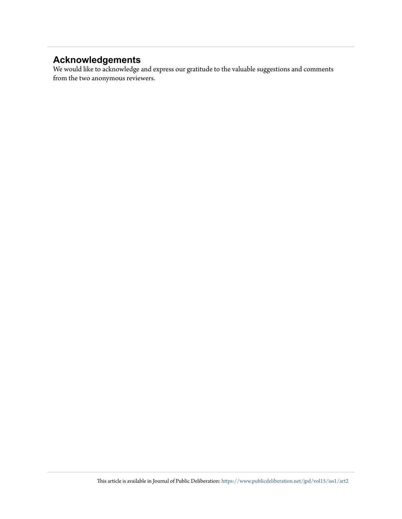# **Acknowledgements**

We would like to acknowledge and express our gratitude to the valuable suggestions and comments from the two anonymous reviewers.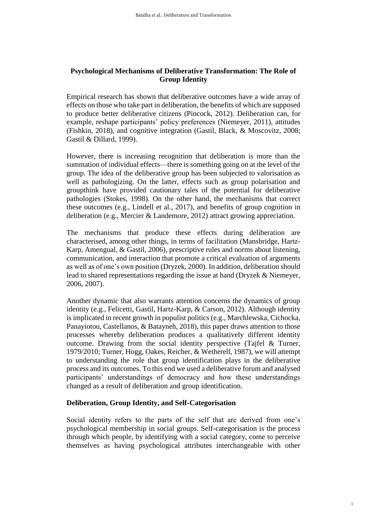### **Psychological Mechanisms of Deliberative Transformation: The Role of Group Identity**

Empirical research has shown that deliberative outcomes have a wide array of effects on those who take part in deliberation, the benefits of which are supposed to produce better deliberative citizens (Pincock, 2012). Deliberation can, for example, reshape participants' policy preferences (Niemeyer, 2011), attitudes (Fishkin, 2018), and cognitive integration (Gastil, Black, & Moscovitz, 2008; Gastil & Dillard, 1999).

However, there is increasing recognition that deliberation is more than the summation of individual effects—there is something going on at the level of the group. The idea of the deliberative group has been subjected to valorisation as well as pathologizing. On the latter, effects such as group polarisation and groupthink have provided cautionary tales of the potential for deliberative pathologies (Stokes, 1998). On the other hand, the mechanisms that correct these outcomes (e.g., Lindell et al., 2017), and benefits of group cognition in deliberation (e.g., Mercier & Landemore, 2012) attract growing appreciation.

The mechanisms that produce these effects during deliberation are characterised, among other things, in terms of facilitation (Mansbridge, Hartz-Karp, Amengual, & Gastil, 2006), prescriptive rules and norms about listening, communication, and interaction that promote a critical evaluation of arguments as well as of one's own position (Dryzek, 2000). In addition, deliberation should lead to shared representations regarding the issue at hand (Dryzek & Niemeyer, 2006, 2007).

Another dynamic that also warrants attention concerns the dynamics of group identity (e.g., Felicetti, Gastil, Hartz-Karp, & Carson, 2012). Although identity is implicated in recent growth in populist politics (e.g., Marchlewska, Cichocka, Panayiotou, Castellanos, & Batayneh, 2018), this paper draws attention to those processes whereby deliberation produces a qualitatively different identity outcome. Drawing from the social identity perspective (Tajfel & Turner, 1979/2010; Turner, Hogg, Oakes, Reicher, & Wetherell, 1987), we will attempt to understanding the role that group identification plays in the deliberative process and its outcomes. To this end we used a deliberative forum and analysed participants' understandings of democracy and how these understandings changed as a result of deliberation and group identification.

#### **Deliberation, Group Identity, and Self-Categorisation**

Social identity refers to the parts of the self that are derived from one's psychological membership in social groups. Self-categorisation is the process through which people, by identifying with a social category, come to perceive themselves as having psychological attributes interchangeable with other

1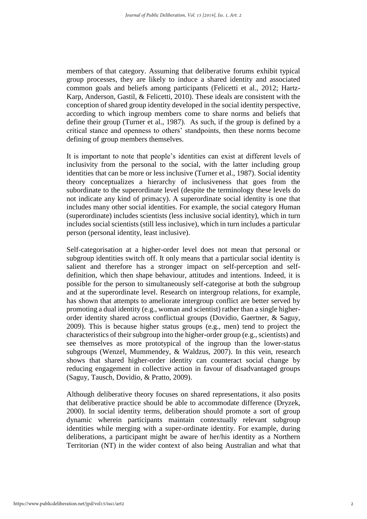members of that category. Assuming that deliberative forums exhibit typical group processes, they are likely to induce a shared identity and associated common goals and beliefs among participants (Felicetti et al., 2012; Hartz-Karp, Anderson, Gastil, & Felicetti, 2010). These ideals are consistent with the conception of shared group identity developed in the social identity perspective, according to which ingroup members come to share norms and beliefs that define their group (Turner et al., 1987). As such, if the group is defined by a critical stance and openness to others' standpoints, then these norms become defining of group members themselves.

It is important to note that people's identities can exist at different levels of inclusivity from the personal to the social, with the latter including group identities that can be more or less inclusive (Turner et al., 1987). Social identity theory conceptualizes a hierarchy of inclusiveness that goes from the subordinate to the superordinate level (despite the terminology these levels do not indicate any kind of primacy). A superordinate social identity is one that includes many other social identities. For example, the social category Human (superordinate) includes scientists (less inclusive social identity), which in turn includes social scientists (still less inclusive), which in turn includes a particular person (personal identity, least inclusive).

Self-categorisation at a higher-order level does not mean that personal or subgroup identities switch off. It only means that a particular social identity is salient and therefore has a stronger impact on self-perception and selfdefinition, which then shape behaviour, attitudes and intentions. Indeed, it is possible for the person to simultaneously self-categorise at both the subgroup and at the superordinate level. Research on intergroup relations, for example, has shown that attempts to ameliorate intergroup conflict are better served by promoting a dual identity (e.g., woman and scientist) rather than a single higherorder identity shared across conflictual groups (Dovidio, Gaertner, & Saguy, 2009). This is because higher status groups (e.g., men) tend to project the characteristics of their subgroup into the higher-order group (e.g., scientists) and see themselves as more prototypical of the ingroup than the lower-status subgroups (Wenzel, Mummendey, & Waldzus, 2007). In this vein, research shows that shared higher-order identity can counteract social change by reducing engagement in collective action in favour of disadvantaged groups (Saguy, Tausch, Dovidio, & Pratto, 2009).

Although deliberative theory focuses on shared representations, it also posits that deliberative practice should be able to accommodate difference (Dryzek, 2000). In social identity terms, deliberation should promote a sort of group dynamic wherein participants maintain contextually relevant subgroup identities while merging with a super-ordinate identity. For example, during deliberations, a participant might be aware of her/his identity as a Northern Territorian (NT) in the wider context of also being Australian and what that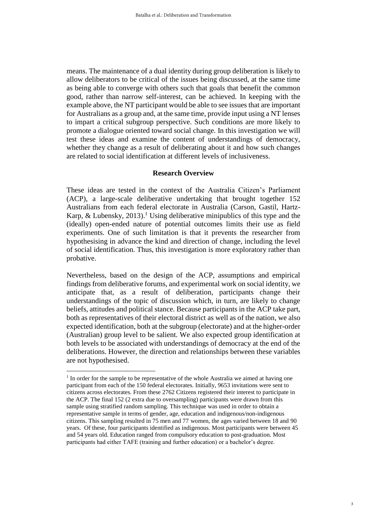means. The maintenance of a dual identity during group deliberation is likely to allow deliberators to be critical of the issues being discussed, at the same time as being able to converge with others such that goals that benefit the common good, rather than narrow self-interest, can be achieved. In keeping with the example above, the NT participant would be able to see issues that are important for Australians as a group and, at the same time, provide input using a NT lenses to impart a critical subgroup perspective. Such conditions are more likely to promote a dialogue oriented toward social change. In this investigation we will test these ideas and examine the content of understandings of democracy, whether they change as a result of deliberating about it and how such changes are related to social identification at different levels of inclusiveness.

#### **Research Overview**

These ideas are tested in the context of the Australia Citizen's Parliament (ACP), a large-scale deliberative undertaking that brought together 152 Australians from each federal electorate in Australia (Carson, Gastil, Hartz-Karp, & Lubensky, 2013). <sup>1</sup> Using deliberative minipublics of this type and the (ideally) open-ended nature of potential outcomes limits their use as field experiments. One of such limitation is that it prevents the researcher from hypothesising in advance the kind and direction of change, including the level of social identification. Thus, this investigation is more exploratory rather than probative.

Nevertheless, based on the design of the ACP, assumptions and empirical findings from deliberative forums, and experimental work on social identity, we anticipate that, as a result of deliberation, participants change their understandings of the topic of discussion which, in turn, are likely to change beliefs, attitudes and political stance. Because participants in the ACP take part, both as representatives of their electoral district as well as of the nation, we also expected identification, both at the subgroup (electorate) and at the higher-order (Australian) group level to be salient. We also expected group identification at both levels to be associated with understandings of democracy at the end of the deliberations. However, the direction and relationships between these variables are not hypothesised.

1

 $<sup>1</sup>$  In order for the sample to be representative of the whole Australia we aimed at having one</sup> participant from each of the 150 federal electorates. Initially, 9653 invitations were sent to citizens across electorates. From these 2762 Citizens registered their interest to participate in the ACP. The final 152 (2 extra due to oversampling) participants were drawn from this sample using stratified random sampling. This technique was used in order to obtain a representative sample in terms of gender, age, education and indigenous/non-indigenous citizens. This sampling resulted in 75 men and 77 women, the ages varied between 18 and 90 years. Of these, four participants identified as indigenous. Most participants were between 45 and 54 years old. Education ranged from compulsory education to post-graduation. Most participants had either TAFE (training and further education) or a bachelor's degree.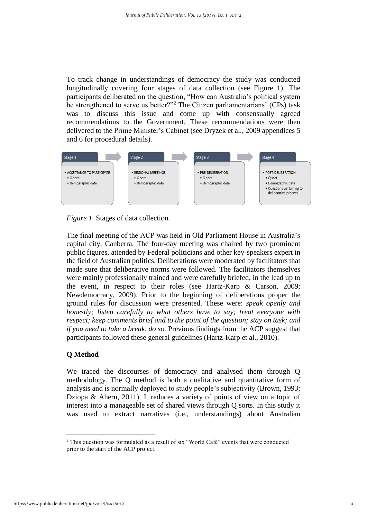To track change in understandings of democracy the study was conducted longitudinally covering four stages of data collection (see Figure 1). The participants deliberated on the question, "How can Australia's political system be strengthened to serve us better?"<sup>2</sup> The Citizen parliamentarians' (CPs) task was to discuss this issue and come up with consensually agreed recommendations to the Government. These recommendations were then delivered to the Prime Minister's Cabinet (see Dryzek et al., 2009 appendices 5 and 6 for procedural details).



*Figure 1.* Stages of data collection.

The final meeting of the ACP was held in Old Parliament House in Australia's capital city, Canberra. The four-day meeting was chaired by two prominent public figures, attended by Federal politicians and other key-speakers expert in the field of Australian politics. Deliberations were moderated by facilitators that made sure that deliberative norms were followed. The facilitators themselves were mainly professionally trained and were carefully briefed, in the lead up to the event, in respect to their roles (see Hartz-Karp & Carson, 2009; Newdemocracy, 2009). Prior to the beginning of deliberations proper the ground rules for discussion were presented. These were: *speak openly and honestly; listen carefully to what others have to say; treat everyone with respect; keep comments brief and to the point of the question; stay on task; and if you need to take a break, do so.* Previous findings from the ACP suggest that participants followed these general guidelines (Hartz-Karp et al., 2010).

## **Q Method**

We traced the discourses of democracy and analysed them through Q methodology. The Q method is both a qualitative and quantitative form of analysis and is normally deployed to study people's subjectivity (Brown, 1993; Dziopa & Ahern, 2011). It reduces a variety of points of view on a topic of interest into a manageable set of shared views through Q sorts. In this study it was used to extract narratives (i.e., understandings) about Australian

1

<sup>2</sup> This question was formulated as a result of six "World Café" events that were conducted prior to the start of the ACP project.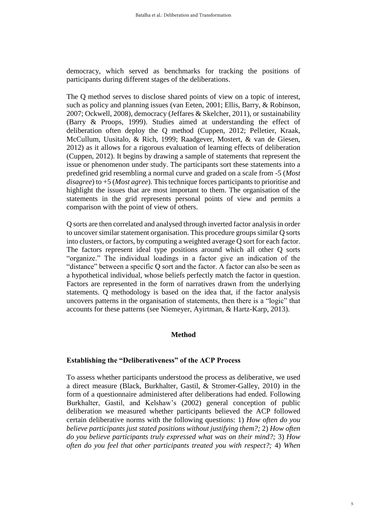democracy, which served as benchmarks for tracking the positions of participants during different stages of the deliberations.

The Q method serves to disclose shared points of view on a topic of interest, such as policy and planning issues (van Eeten, 2001; Ellis, Barry, & Robinson, 2007; Ockwell, 2008), democracy (Jeffares & Skelcher, 2011), or sustainability (Barry & Proops, 1999). Studies aimed at understanding the effect of deliberation often deploy the Q method (Cuppen, 2012; Pelletier, Kraak, McCullum, Uusitalo, & Rich, 1999; Raadgever, Mostert, & van de Giesen, 2012) as it allows for a rigorous evaluation of learning effects of deliberation (Cuppen, 2012). It begins by drawing a sample of statements that represent the issue or phenomenon under study. The participants sort these statements into a predefined grid resembling a normal curve and graded on a scale from -5 (*Most disagree*) to +5 (*Most agree*). This technique forces participants to prioritise and highlight the issues that are most important to them. The organisation of the statements in the grid represents personal points of view and permits a comparison with the point of view of others.

Q sorts are then correlated and analysed through inverted factor analysis in order to uncover similar statement organisation. This procedure groups similar Q sorts into clusters, or factors, by computing a weighted average Q sort for each factor. The factors represent ideal type positions around which all other Q sorts "organize." The individual loadings in a factor give an indication of the "distance" between a specific Q sort and the factor. A factor can also be seen as a hypothetical individual, whose beliefs perfectly match the factor in question. Factors are represented in the form of narratives drawn from the underlying statements. Q methodology is based on the idea that, if the factor analysis uncovers patterns in the organisation of statements, then there is a "logic" that accounts for these patterns (see Niemeyer, Ayirtman, & Hartz-Karp, 2013).

## **Method**

## **Establishing the "Deliberativeness" of the ACP Process**

To assess whether participants understood the process as deliberative, we used a direct measure (Black, Burkhalter, Gastil, & Stromer-Galley, 2010) in the form of a questionnaire administered after deliberations had ended. Following Burkhalter, Gastil, and Kelshaw's (2002) general conception of public deliberation we measured whether participants believed the ACP followed certain deliberative norms with the following questions: 1) *How often do you believe participants just stated positions without justifying them?;* 2) *How often do you believe participants truly expressed what was on their mind?;* 3) *How often do you feel that other participants treated you with respect?;* 4) *When*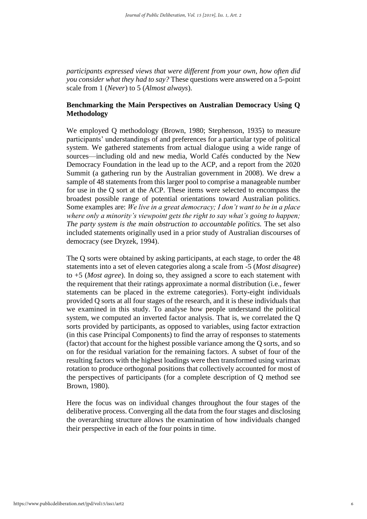*participants expressed views that were different from your own, how often did you consider what they had to say?* These questions were answered on a 5-point scale from 1 (*Never*) to 5 (*Almost always*).

#### **Benchmarking the Main Perspectives on Australian Democracy Using Q Methodology**

We employed Q methodology (Brown, 1980; Stephenson, 1935) to measure participants' understandings of and preferences for a particular type of political system. We gathered statements from actual dialogue using a wide range of sources—including old and new media, World Cafés conducted by the New Democracy Foundation in the lead up to the ACP, and a report from the 2020 Summit (a gathering run by the Australian government in 2008). We drew a sample of 48 statements from this larger pool to comprise a manageable number for use in the Q sort at the ACP. These items were selected to encompass the broadest possible range of potential orientations toward Australian politics. Some examples are: *We live in a great democracy; I don't want to be in a place where only a minority's viewpoint gets the right to say what's going to happen; The party system is the main obstruction to accountable politics.* The set also included statements originally used in a prior study of Australian discourses of democracy (see Dryzek, 1994).

The Q sorts were obtained by asking participants, at each stage, to order the 48 statements into a set of eleven categories along a scale from -5 (*Most disagree*) to +5 (*Most agree*). In doing so, they assigned a score to each statement with the requirement that their ratings approximate a normal distribution (i.e., fewer statements can be placed in the extreme categories). Forty-eight individuals provided Q sorts at all four stages of the research, and it is these individuals that we examined in this study. To analyse how people understand the political system, we computed an inverted factor analysis. That is, we correlated the Q sorts provided by participants, as opposed to variables, using factor extraction (in this case Principal Components) to find the array of responses to statements (factor) that account for the highest possible variance among the Q sorts, and so on for the residual variation for the remaining factors. A subset of four of the resulting factors with the highest loadings were then transformed using varimax rotation to produce orthogonal positions that collectively accounted for most of the perspectives of participants (for a complete description of Q method see Brown, 1980).

Here the focus was on individual changes throughout the four stages of the deliberative process. Converging all the data from the four stages and disclosing the overarching structure allows the examination of how individuals changed their perspective in each of the four points in time.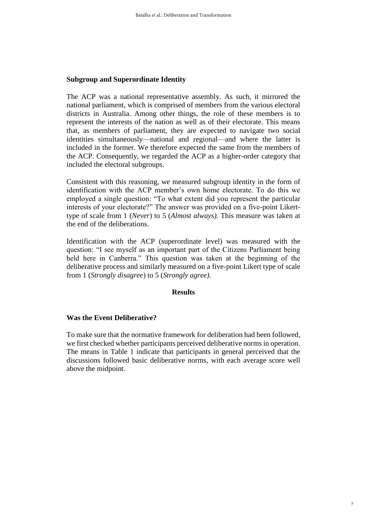### **Subgroup and Superordinate Identity**

The ACP was a national representative assembly. As such, it mirrored the national parliament, which is comprised of members from the various electoral districts in Australia. Among other things, the role of these members is to represent the interests of the nation as well as of their electorate. This means that, as members of parliament, they are expected to navigate two social identities simultaneously—national and regional—and where the latter is included in the former. We therefore expected the same from the members of the ACP. Consequently, we regarded the ACP as a higher-order category that included the electoral subgroups.

Consistent with this reasoning, we measured subgroup identity in the form of identification with the ACP member's own home electorate. To do this we employed a single question: "To what extent did you represent the particular interests of your electorate?" The answer was provided on a five-point Likerttype of scale from 1 (*Never*) to 5 (*Almost always).* This measure was taken at the end of the deliberations.

Identification with the ACP (superordinate level) was measured with the question: "I see myself as an important part of the Citizens Parliament being held here in Canberra." This question was taken at the beginning of the deliberative process and similarly measured on a five-point Likert type of scale from 1 (*Strongly disagree*) to 5 (*Strongly agree).*

#### **Results**

#### **Was the Event Deliberative?**

To make sure that the normative framework for deliberation had been followed, we first checked whether participants perceived deliberative norms in operation. The means in Table 1 indicate that participants in general perceived that the discussions followed basic deliberative norms, with each average score well above the midpoint.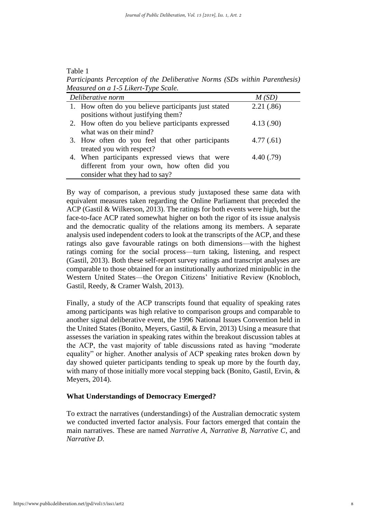| ante |  |
|------|--|
|------|--|

*Participants Perception of the Deliberative Norms (SDs within Parenthesis) Measured on a 1-5 Likert-Type Scale.*

| Deliberative norm                                    | M(SD)      |
|------------------------------------------------------|------------|
| 1. How often do you believe participants just stated | 2.21(.86)  |
| positions without justifying them?                   |            |
| 2. How often do you believe participants expressed   | 4.13(0.90) |
| what was on their mind?                              |            |
| 3. How often do you feel that other participants     | 4.77(.61)  |
| treated you with respect?                            |            |
| 4. When participants expressed views that were       | 4.40(0.79) |
| different from your own, how often did you           |            |
| consider what they had to say?                       |            |

By way of comparison, a previous study juxtaposed these same data with equivalent measures taken regarding the Online Parliament that preceded the ACP (Gastil & Wilkerson, 2013). The ratings for both events were high, but the face-to-face ACP rated somewhat higher on both the rigor of its issue analysis and the democratic quality of the relations among its members. A separate analysis used independent coders to look at the transcripts of the ACP, and these ratings also gave favourable ratings on both dimensions—with the highest ratings coming for the social process—turn taking, listening, and respect (Gastil, 2013). Both these self-report survey ratings and transcript analyses are comparable to those obtained for an institutionally authorized minipublic in the Western United States—the Oregon Citizens' Initiative Review (Knobloch, Gastil, Reedy, & Cramer Walsh, 2013).

Finally, a study of the ACP transcripts found that equality of speaking rates among participants was high relative to comparison groups and comparable to another signal deliberative event, the 1996 National Issues Convention held in the United States (Bonito, Meyers, Gastil, & Ervin, 2013) Using a measure that assesses the variation in speaking rates within the breakout discussion tables at the ACP, the vast majority of table discussions rated as having "moderate equality" or higher. Another analysis of ACP speaking rates broken down by day showed quieter participants tending to speak up more by the fourth day, with many of those initially more vocal stepping back (Bonito, Gastil, Ervin, & Meyers, 2014).

#### **What Understandings of Democracy Emerged?**

To extract the narratives (understandings) of the Australian democratic system we conducted inverted factor analysis. Four factors emerged that contain the main narratives. These are named *Narrative A, Narrative B, Narrative C*, and *Narrative D*.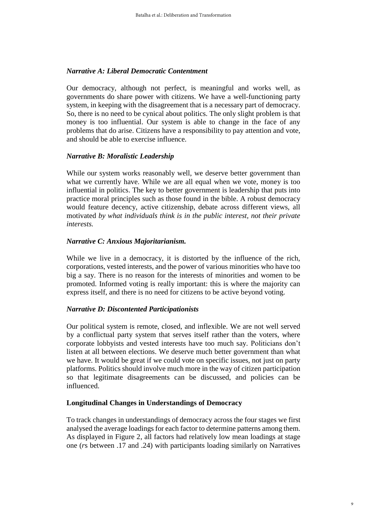### *Narrative A: Liberal Democratic Contentment*

Our democracy, although not perfect, is meaningful and works well, as governments do share power with citizens. We have a well-functioning party system, in keeping with the disagreement that is a necessary part of democracy. So, there is no need to be cynical about politics. The only slight problem is that money is too influential. Our system is able to change in the face of any problems that do arise. Citizens have a responsibility to pay attention and vote, and should be able to exercise influence.

#### *Narrative B: Moralistic Leadership*

While our system works reasonably well, we deserve better government than what we currently have. While we are all equal when we vote, money is too influential in politics. The key to better government is leadership that puts into practice moral principles such as those found in the bible. A robust democracy would feature decency, active citizenship, debate across different views, all motivated *by what individuals think is in the public interest, not their private interests.*

#### *Narrative C: Anxious Majoritarianism.*

While we live in a democracy, it is distorted by the influence of the rich, corporations, vested interests, and the power of various minorities who have too big a say. There is no reason for the interests of minorities and women to be promoted. Informed voting is really important: this is where the majority can express itself, and there is no need for citizens to be active beyond voting.

## *Narrative D: Discontented Participationists*

Our political system is remote, closed, and inflexible. We are not well served by a conflictual party system that serves itself rather than the voters, where corporate lobbyists and vested interests have too much say. Politicians don't listen at all between elections. We deserve much better government than what we have. It would be great if we could vote on specific issues, not just on party platforms. Politics should involve much more in the way of citizen participation so that legitimate disagreements can be discussed, and policies can be influenced.

#### **Longitudinal Changes in Understandings of Democracy**

To track changes in understandings of democracy across the four stages we first analysed the average loadings for each factor to determine patterns among them. As displayed in Figure 2, all factors had relatively low mean loadings at stage one (*r*s between .17 and .24) with participants loading similarly on Narratives

9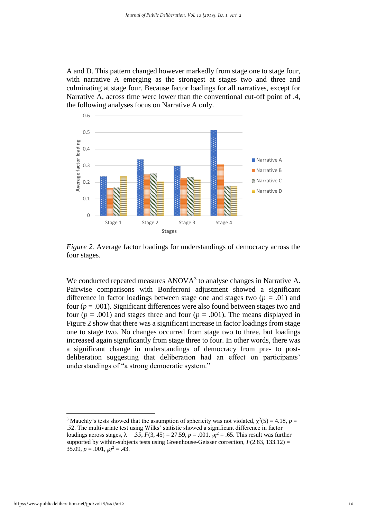A and D. This pattern changed however markedly from stage one to stage four, with narrative A emerging as the strongest at stages two and three and culminating at stage four. Because factor loadings for all narratives, except for Narrative A, across time were lower than the conventional cut-off point of .4, the following analyses focus on Narrative A only.



*Figure 2.* Average factor loadings for understandings of democracy across the four stages.

We conducted repeated measures ANOVA<sup>3</sup> to analyse changes in Narrative A. Pairwise comparisons with Bonferroni adjustment showed a significant difference in factor loadings between stage one and stages two (*p =* .01) and four  $(p = .001)$ . Significant differences were also found between stages two and four  $(p = .001)$  and stages three and four  $(p = .001)$ . The means displayed in Figure 2 show that there was a significant increase in factor loadings from stage one to stage two. No changes occurred from stage two to three, but loadings increased again significantly from stage three to four. In other words, there was a significant change in understandings of democracy from pre- to postdeliberation suggesting that deliberation had an effect on participants' understandings of "a strong democratic system."

<u>.</u>

<sup>&</sup>lt;sup>3</sup> Mauchly's tests showed that the assumption of sphericity was not violated,  $\chi^2(5) = 4.18$ ,  $p =$ .52. The multivariate test using Wilks' statistic showed a significant difference in factor loadings across stages,  $λ = .35$ ,  $F(3, 45) = 27.59$ ,  $p = .001$ ,  $p7^2 = .65$ . This result was further supported by within-subjects tests using Greenhouse-Geisser correction,  $F(2.83, 133.12)$  = 35.09,  $p = .001$ ,  $p^2 = .43$ .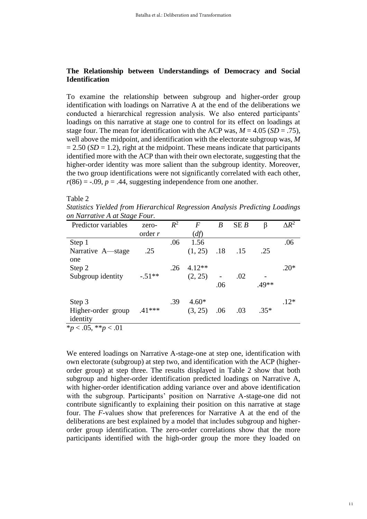#### **The Relationship between Understandings of Democracy and Social Identification**

To examine the relationship between subgroup and higher-order group identification with loadings on Narrative A at the end of the deliberations we conducted a hierarchical regression analysis. We also entered participants' loadings on this narrative at stage one to control for its effect on loadings at stage four. The mean for identification with the ACP was,  $M = 4.05$  ( $SD = .75$ ), well above the midpoint, and identification with the electorate subgroup was, *M*   $= 2.50$  (*SD*  $= 1.2$ ), right at the midpoint. These means indicate that participants identified more with the ACP than with their own electorate, suggesting that the higher-order identity was more salient than the subgroup identity. Moreover, the two group identifications were not significantly correlated with each other,  $r(86) = -.09$ ,  $p = .44$ , suggesting independence from one another.

#### Table 2

*Statistics Yielded from Hierarchical Regression Analysis Predicting Loadings on Narrative A at Stage Four.*

| zero-    | $R^2$ | F        | $\boldsymbol{B}$ | SEB | β           | $\Delta R^2$ |
|----------|-------|----------|------------------|-----|-------------|--------------|
| order r  |       | (df)     |                  |     |             |              |
|          | .06   | 1.56     |                  |     |             | .06          |
| .25      |       | (1, 25)  |                  |     | .25         |              |
|          | .26   | $4.12**$ |                  |     |             | $.20*$       |
| $-.51**$ |       | (2, 25)  | .06              | .02 | $.49**$     |              |
|          | .39   | $4.60*$  |                  |     |             | $.12*$       |
| $.41***$ |       | (3, 25)  | .06              | .03 | $.35*$      |              |
|          |       |          |                  |     | $.18$ $.15$ |              |

\**p* < .05, \*\**p* < .01

We entered loadings on Narrative A-stage-one at step one, identification with own electorate (subgroup) at step two, and identification with the ACP (higherorder group) at step three. The results displayed in Table 2 show that both subgroup and higher-order identification predicted loadings on Narrative A, with higher-order identification adding variance over and above identification with the subgroup. Participants' position on Narrative A-stage-one did not contribute significantly to explaining their position on this narrative at stage four. The *F*-values show that preferences for Narrative A at the end of the deliberations are best explained by a model that includes subgroup and higherorder group identification. The zero-order correlations show that the more participants identified with the high-order group the more they loaded on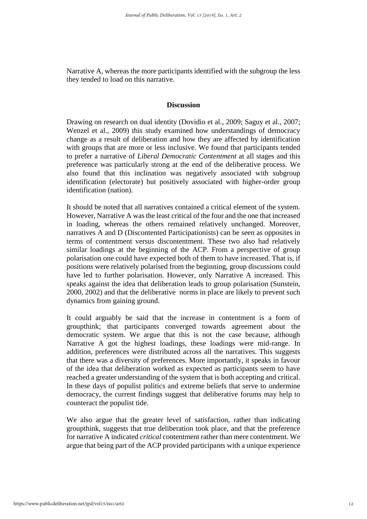Narrative A, whereas the more participants identified with the subgroup the less they tended to load on this narrative.

#### **Discussion**

Drawing on research on dual identity (Dovidio et al., 2009; Saguy et al., 2007; Wenzel et al., 2009) this study examined how understandings of democracy change as a result of deliberation and how they are affected by identification with groups that are more or less inclusive. We found that participants tended to prefer a narrative of *Liberal Democratic Contentment* at all stages and this preference was particularly strong at the end of the deliberative process. We also found that this inclination was negatively associated with subgroup identification (electorate) but positively associated with higher-order group identification (nation).

It should be noted that all narratives contained a critical element of the system. However, Narrative A was the least critical of the four and the one that increased in loading, whereas the others remained relatively unchanged. Moreover, narratives A and D (Discontented Participationists) can be seen as opposites in terms of contentment versus discontentment. These two also had relatively similar loadings at the beginning of the ACP. From a perspective of group polarisation one could have expected both of them to have increased. That is, if positions were relatively polarised from the beginning, group discussions could have led to further polarisation. However, only Narrative A increased. This speaks against the idea that deliberation leads to group polarisation (Sunstein, 2000, 2002) and that the deliberative norms in place are likely to prevent such dynamics from gaining ground.

It could arguably be said that the increase in contentment is a form of groupthink; that participants converged towards agreement about the democratic system. We argue that this is not the case because, although Narrative A got the highest loadings, these loadings were mid-range. In addition, preferences were distributed across all the narratives. This suggests that there was a diversity of preferences. More importantly, it speaks in favour of the idea that deliberation worked as expected as participants seem to have reached a greater understanding of the system that is both accepting and critical. In these days of populist politics and extreme beliefs that serve to undermine democracy, the current findings suggest that deliberative forums may help to counteract the populist tide.

We also argue that the greater level of satisfaction, rather than indicating groupthink, suggests that true deliberation took place, and that the preference for narrative A indicated *critical* contentment rather than mere contentment. We argue that being part of the ACP provided participants with a unique experience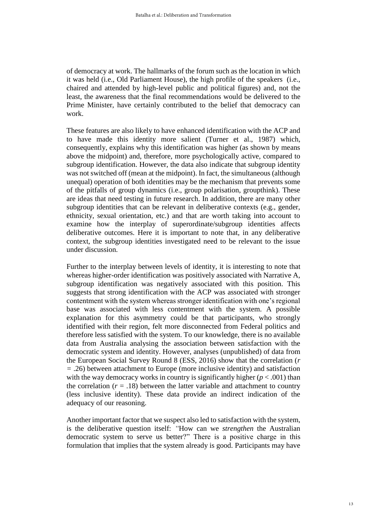of democracy at work. The hallmarks of the forum such as the location in which it was held (i.e., Old Parliament House), the high profile of the speakers (i.e., chaired and attended by high-level public and political figures) and, not the least, the awareness that the final recommendations would be delivered to the Prime Minister, have certainly contributed to the belief that democracy can work.

These features are also likely to have enhanced identification with the ACP and to have made this identity more salient (Turner et al., 1987) which, consequently, explains why this identification was higher (as shown by means above the midpoint) and, therefore, more psychologically active, compared to subgroup identification. However, the data also indicate that subgroup identity was not switched off (mean at the midpoint). In fact, the simultaneous (although unequal) operation of both identities may be the mechanism that prevents some of the pitfalls of group dynamics (i.e., group polarisation, groupthink). These are ideas that need testing in future research. In addition, there are many other subgroup identities that can be relevant in deliberative contexts (e.g., gender, ethnicity, sexual orientation, etc.) and that are worth taking into account to examine how the interplay of superordinate/subgroup identities affects deliberative outcomes. Here it is important to note that, in any deliberative context, the subgroup identities investigated need to be relevant to the issue under discussion.

Further to the interplay between levels of identity, it is interesting to note that whereas higher-order identification was positively associated with Narrative A, subgroup identification was negatively associated with this position. This suggests that strong identification with the ACP was associated with stronger contentment with the system whereas stronger identification with one's regional base was associated with less contentment with the system. A possible explanation for this asymmetry could be that participants, who strongly identified with their region, felt more disconnected from Federal politics and therefore less satisfied with the system. To our knowledge, there is no available data from Australia analysing the association between satisfaction with the democratic system and identity. However, analyses (unpublished) of data from the European Social Survey Round 8 (ESS, 2016) show that the correlation (*r =* .26) between attachment to Europe (more inclusive identity) and satisfaction with the way democracy works in country is significantly higher  $(p < .001)$  than the correlation  $(r = .18)$  between the latter variable and attachment to country (less inclusive identity). These data provide an indirect indication of the adequacy of our reasoning.

Another important factor that we suspect also led to satisfaction with the system, is the deliberative question itself: *"*How can we *strengthen* the Australian democratic system to serve us better?" There is a positive charge in this formulation that implies that the system already is good. Participants may have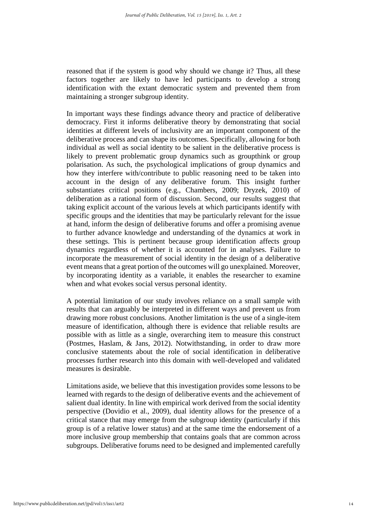reasoned that if the system is good why should we change it? Thus, all these factors together are likely to have led participants to develop a strong identification with the extant democratic system and prevented them from maintaining a stronger subgroup identity.

In important ways these findings advance theory and practice of deliberative democracy. First it informs deliberative theory by demonstrating that social identities at different levels of inclusivity are an important component of the deliberative process and can shape its outcomes. Specifically, allowing for both individual as well as social identity to be salient in the deliberative process is likely to prevent problematic group dynamics such as groupthink or group polarisation. As such, the psychological implications of group dynamics and how they interfere with/contribute to public reasoning need to be taken into account in the design of any deliberative forum. This insight further substantiates critical positions (e.g., Chambers, 2009; Dryzek, 2010) of deliberation as a rational form of discussion. Second, our results suggest that taking explicit account of the various levels at which participants identify with specific groups and the identities that may be particularly relevant for the issue at hand, inform the design of deliberative forums and offer a promising avenue to further advance knowledge and understanding of the dynamics at work in these settings. This is pertinent because group identification affects group dynamics regardless of whether it is accounted for in analyses. Failure to incorporate the measurement of social identity in the design of a deliberative event means that a great portion of the outcomes will go unexplained. Moreover, by incorporating identity as a variable, it enables the researcher to examine when and what evokes social versus personal identity.

A potential limitation of our study involves reliance on a small sample with results that can arguably be interpreted in different ways and prevent us from drawing more robust conclusions. Another limitation is the use of a single-item measure of identification, although there is evidence that reliable results are possible with as little as a single, overarching item to measure this construct (Postmes, Haslam, & Jans, 2012). Notwithstanding, in order to draw more conclusive statements about the role of social identification in deliberative processes further research into this domain with well-developed and validated measures is desirable.

Limitations aside, we believe that this investigation provides some lessons to be learned with regards to the design of deliberative events and the achievement of salient dual identity. In line with empirical work derived from the social identity perspective (Dovidio et al., 2009), dual identity allows for the presence of a critical stance that may emerge from the subgroup identity (particularly if this group is of a relative lower status) and at the same time the endorsement of a more inclusive group membership that contains goals that are common across subgroups. Deliberative forums need to be designed and implemented carefully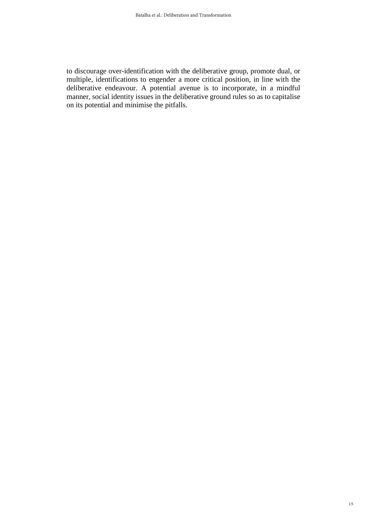to discourage over-identification with the deliberative group, promote dual, or multiple, identifications to engender a more critical position, in line with the deliberative endeavour. A potential avenue is to incorporate, in a mindful manner, social identity issues in the deliberative ground rules so as to capitalise on its potential and minimise the pitfalls.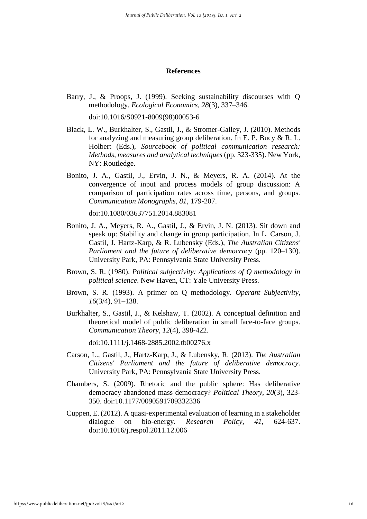#### **References**

Barry, J., & Proops, J. (1999). Seeking sustainability discourses with Q methodology. *Ecological Economics, 28*(3), 337–346.

doi:10.1016/S0921-8009(98)00053-6

- Black, L. W., Burkhalter, S., Gastil, J., & Stromer-Galley, J. (2010). Methods for analyzing and measuring group deliberation. In E. P. Bucy & R. L. Holbert (Eds.), *Sourcebook of political communication research: Methods, measures and analytical techniques* (pp. 323-335). New York, NY: Routledge.
- Bonito, J. A., Gastil, J., Ervin, J. N., & Meyers, R. A. (2014). At the convergence of input and process models of group discussion: A comparison of participation rates across time, persons, and groups. *Communication Monographs, 81*, 179-207.

doi:10.1080/03637751.2014.883081

- Bonito, J. A., Meyers, R. A., Gastil, J., & Ervin, J. N. (2013). Sit down and speak up: Stability and change in group participation. In L. Carson, J. Gastil, J. Hartz-Karp, & R. Lubensky (Eds.), *The Australian Citizens' Parliament and the future of deliberative democracy* (pp. 120–130). University Park, PA: Pennsylvania State University Press.
- Brown, S. R. (1980). *Political subjectivity: Applications of Q methodology in political science*. New Haven, CT: Yale University Press.
- Brown, S. R. (1993). A primer on Q methodology. *Operant Subjectivity, 16*(3/4), 91–138.
- Burkhalter, S., Gastil, J., & Kelshaw, T. (2002). A conceptual definition and theoretical model of public deliberation in small face-to-face groups. *Communication Theory, 12*(4), 398-422.

doi:10.1111/j.1468-2885.2002.tb00276.x

- Carson, L., Gastil, J., Hartz-Karp, J., & Lubensky, R. (2013). *The Australian Citizens' Parliament and the future of deliberative democracy*. University Park, PA: Pennsylvania State University Press.
- Chambers, S. (2009). Rhetoric and the public sphere: Has deliberative democracy abandoned mass democracy? *Political Theory, 20*(3), 323- 350. doi:10.1177/0090591709332336
- Cuppen, E. (2012). A quasi-experimental evaluation of learning in a stakeholder dialogue on bio-energy. *Research Policy, 41*, 624-637. doi:10.1016/j.respol.2011.12.006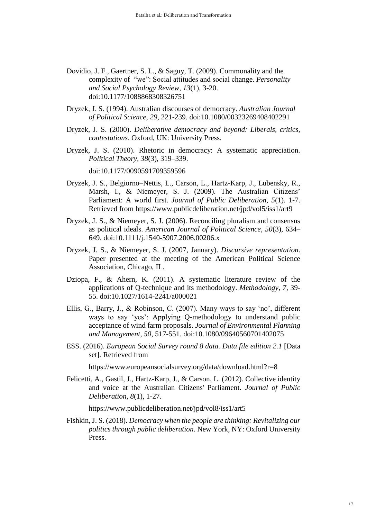- Dovidio, J. F., Gaertner, S. L., & Saguy, T. (2009). Commonality and the complexity of "we": Social attitudes and social change. *Personality and Social Psychology Review, 13*(1), 3-20. doi:10.1177/1088868308326751
- Dryzek, J. S. (1994). Australian discourses of democracy. *Australian Journal of Political Science, 29*, 221-239. doi:10.1080/00323269408402291
- Dryzek, J. S. (2000). *Deliberative democracy and beyond: Liberals, critics, contestations*. Oxford, UK: University Press.
- Dryzek, J. S. (2010). Rhetoric in democracy: A systematic appreciation. *Political Theory, 38*(3), 319–339.

doi:10.1177/0090591709359596

- Dryzek, J. S., Belgiorno–Nettis, L., Carson, L., Hartz-Karp, J., Lubensky, R., Marsh, I., & Niemeyer, S. J. (2009). The Australian Citizens' Parliament: A world first. *Journal of Public Deliberation, 5*(1). 1-7. Retrieved from https://www.publicdeliberation.net/jpd/vol5/iss1/art9
- Dryzek, J. S., & Niemeyer, S. J. (2006). Reconciling pluralism and consensus as political ideals. *American Journal of Political Science, 50*(3), 634– 649. doi:10.1111/j.1540-5907.2006.00206.x
- Dryzek, J. S., & Niemeyer, S. J. (2007, January). *Discursive representation*. Paper presented at the meeting of the American Political Science Association, Chicago, IL.
- Dziopa, F., & Ahern, K. (2011). A systematic literature review of the applications of Q-technique and its methodology. *Methodology, 7*, 39- 55. doi:10.1027/1614-2241/a000021
- Ellis, G., Barry, J., & Robinson, C. (2007). Many ways to say 'no', different ways to say 'yes': Applying Q-methodology to understand public acceptance of wind farm proposals. *Journal of Environmental Planning and Management, 50*, 517-551. doi:10.1080/09640560701402075
- ESS. (2016). *European Social Survey round 8 data. Data file edition 2.1* [Data set]*.* Retrieved from

https://www.europeansocialsurvey.org/data/download.html?r=8

Felicetti, A., Gastil, J., Hartz-Karp, J., & Carson, L. (2012). Collective identity and voice at the Australian Citizens' Parliament. *Journal of Public Deliberation, 8*(1), 1-27.

https://www.publicdeliberation.net/jpd/vol8/iss1/art5

Fishkin, J. S. (2018). *Democracy when the people are thinking: Revitalizing our politics through public deliberation*. New York, NY: Oxford University Press.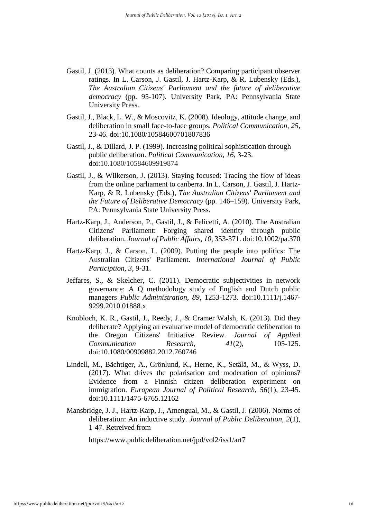- Gastil, J. (2013). What counts as deliberation? Comparing participant observer ratings. In L. Carson, J. Gastil, J. Hartz-Karp, & R. Lubensky (Eds.), *The Australian Citizens' Parliament and the future of deliberative democracy* (pp. 95-107). University Park, PA: Pennsylvania State University Press.
- Gastil, J., Black, L. W., & Moscovitz, K. (2008). Ideology, attitude change, and deliberation in small face-to-face groups. *Political Communication, 25*, 23-46. doi:10.1080/10584600701807836
- Gastil, J., & Dillard, J. P. (1999). Increasing political sophistication through public deliberation. *Political Communication, 16*, 3-23. doi:10.1080/10584609919874
- Gastil, J., & Wilkerson, J. (2013). Staying focused: Tracing the flow of ideas from the online parliament to canberra. In L. Carson, J. Gastil, J. Hartz-Karp, & R. Lubensky (Eds.), *The Australian Citizens' Parliament and the Future of Deliberative Democracy* (pp. 146–159). University Park, PA: Pennsylvania State University Press.
- Hartz-Karp, J., Anderson, P., Gastil, J., & Felicetti, A. (2010). The Australian Citizens' Parliament: Forging shared identity through public deliberation. *Journal of Public Affairs, 10*, 353-371. doi:10.1002/pa.370
- Hartz-Karp, J., & Carson, L. (2009). Putting the people into politics: The Australian Citizens' Parliament. *International Journal of Public Particiption, 3*, 9-31.
- Jeffares, S., & Skelcher, C. (2011). Democratic subjectivities in network governance: A Q methodology study of English and Dutch public managers *Public Administration, 89*, 1253-1273. doi:10.1111/j.1467- 9299.2010.01888.x
- Knobloch, K. R., Gastil, J., Reedy, J., & Cramer Walsh, K. (2013). Did they deliberate? Applying an evaluative model of democratic deliberation to the Oregon Citizens' Initiative Review. *Journal of Applied Communication Research,*  $41(2)$ , 105-125. doi:10.1080/00909882.2012.760746
- Lindell, M., Bächtiger, A., Grönlund, K., Herne, K., Setälä, M., & Wyss, D. (2017). What drives the polarisation and moderation of opinions? Evidence from a Finnish citizen deliberation experiment on immigration. *European Journal of Political Research, 56*(1), 23-45. doi:10.1111/1475-6765.12162
- Mansbridge, J. J., Hartz-Karp, J., Amengual, M., & Gastil, J. (2006). Norms of deliberation: An inductive study. *Journal of Public Deliberation, 2*(1), 1-47. Retreived from

https://www.publicdeliberation.net/jpd/vol2/iss1/art7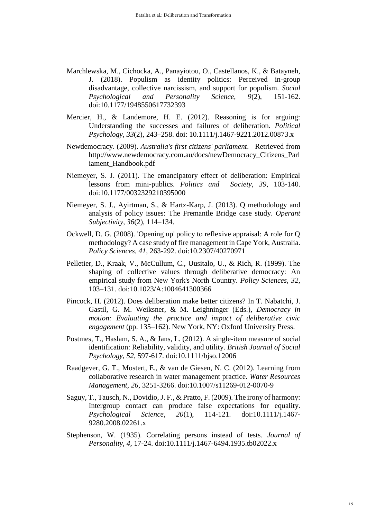- Marchlewska, M., Cichocka, A., Panayiotou, O., Castellanos, K., & Batayneh, J. (2018). Populism as identity politics: Perceived in-group disadvantage, collective narcissism, and support for populism. *Social Psychological and Personality Science, 9*(2), 151-162. doi:10.1177/1948550617732393
- Mercier, H., & Landemore, H. E. (2012). Reasoning is for arguing: Understanding the successes and failures of deliberation. *Political Psychology, 33*(2), 243–258. doi: 10.1111/j.1467-9221.2012.00873.x
- Newdemocracy. (2009). *Australia's first citizens' parliament*. Retrieved from http://www.newdemocracy.com.au/docs/newDemocracy\_Citizens\_Parl iament\_Handbook.pdf
- Niemeyer, S. J. (2011). The emancipatory effect of deliberation: Empirical lessons from mini-publics. *Politics and Society, 39*, 103-140. doi:10.1177/0032329210395000
- Niemeyer, S. J., Ayirtman, S., & Hartz-Karp, J. (2013). Q methodology and analysis of policy issues: The Fremantle Bridge case study. *Operant Subjectivity, 36*(2), 114–134.
- Ockwell, D. G. (2008). 'Opening up' policy to reflexive appraisal: A role for Q methodology? A case study of fire management in Cape York, Australia. *Policy Sciences, 41*, 263-292. doi:10.2307/40270971
- Pelletier, D., Kraak, V., McCullum, C., Uusitalo, U., & Rich, R. (1999). The shaping of collective values through deliberative democracy: An empirical study from New York's North Country. *Policy Sciences, 32*, 103–131. doi:10.1023/A:1004641300366
- Pincock, H. (2012). Does deliberation make better citizens? In T. Nabatchi, J. Gastil, G. M. Weiksner, & M. Leighninger (Eds.), *Democracy in motion: Evaluating the practice and impact of deliberative civic engagement* (pp. 135–162). New York, NY: Oxford University Press.
- Postmes, T., Haslam, S. A., & Jans, L. (2012). A single-item measure of social identification: Reliability, validity, and utility. *British Journal of Social Psychology*, *52*, 597-617. doi:10.1111/bjso.12006
- Raadgever, G. T., Mostert, E., & van de Giesen, N. C. (2012). Learning from collaborative research in water management practice. *Water Resources Management, 26*, 3251-3266. doi:10.1007/s11269-012-0070-9
- Saguy, T., Tausch, N., Dovidio, J. F., & Pratto, F. (2009). The irony of harmony: Intergroup contact can produce false expectations for equality. *Psychological Science, 20*(1), 114-121. doi:10.1111/j.1467- 9280.2008.02261.x
- Stephenson, W. (1935). Correlating persons instead of tests. *Journal of Personality, 4*, 17-24. doi:10.1111/j.1467-6494.1935.tb02022.x